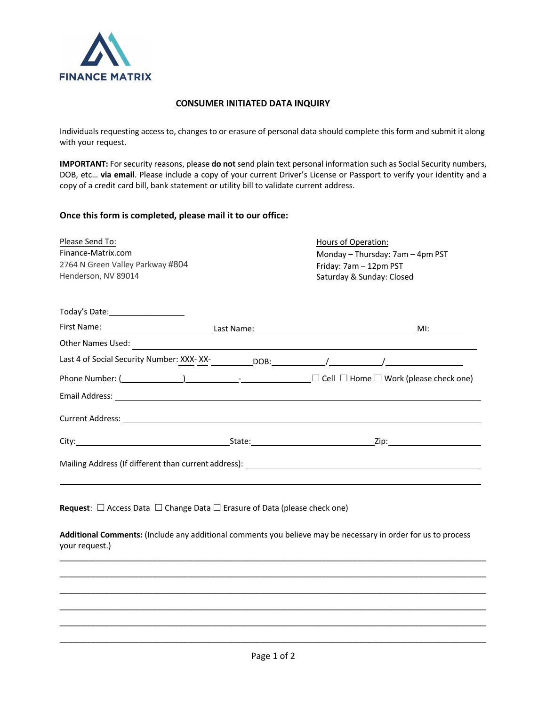

## **CONSUMER INITIATED DATA INQUIRY**

Individuals requesting access to, changes to or erasure of personal data should complete this form and submit it along with your request.

**IMPORTANT:** For security reasons, please **do not** send plain text personal information such as Social Security numbers, DOB, etc… **via email**. Please include a copy of your current Driver's License or Passport to verify your identity and a copy of a credit card bill, bank statement or utility bill to validate current address.

## **Once this form is completed, please mail it to our office:**

| Please Send To:                                        |  | Hours of Operation:                                                                                                             |  |
|--------------------------------------------------------|--|---------------------------------------------------------------------------------------------------------------------------------|--|
| Finance-Matrix.com<br>2764 N Green Valley Parkway #804 |  | Monday – Thursday: 7am – 4pm PST<br>Friday: 7am - 12pm PST                                                                      |  |
|                                                        |  |                                                                                                                                 |  |
|                                                        |  |                                                                                                                                 |  |
| Today's Date: _____________________                    |  |                                                                                                                                 |  |
|                                                        |  |                                                                                                                                 |  |
|                                                        |  |                                                                                                                                 |  |
|                                                        |  |                                                                                                                                 |  |
|                                                        |  | Phone Number: $($ $)$ $)$ $  \Box$ $\Box$ $\Box$ Home $\Box$ Work (please check one)                                            |  |
|                                                        |  |                                                                                                                                 |  |
|                                                        |  |                                                                                                                                 |  |
|                                                        |  |                                                                                                                                 |  |
|                                                        |  | Mailing Address (If different than current address): National State of the Mailing Address (If different than current address): |  |
|                                                        |  |                                                                                                                                 |  |
|                                                        |  |                                                                                                                                 |  |

**Request**: ☐ Access Data ☐ Change Data ☐ Erasure of Data (please check one)

**Additional Comments:** (Include any additional comments you believe may be necessary in order for us to process your request.)

\_\_\_\_\_\_\_\_\_\_\_\_\_\_\_\_\_\_\_\_\_\_\_\_\_\_\_\_\_\_\_\_\_\_\_\_\_\_\_\_\_\_\_\_\_\_\_\_\_\_\_\_\_\_\_\_\_\_\_\_\_\_\_\_\_\_\_\_\_\_\_\_\_\_\_\_\_\_\_\_\_\_\_\_\_\_\_\_\_\_\_\_\_\_\_\_ \_\_\_\_\_\_\_\_\_\_\_\_\_\_\_\_\_\_\_\_\_\_\_\_\_\_\_\_\_\_\_\_\_\_\_\_\_\_\_\_\_\_\_\_\_\_\_\_\_\_\_\_\_\_\_\_\_\_\_\_\_\_\_\_\_\_\_\_\_\_\_\_\_\_\_\_\_\_\_\_\_\_\_\_\_\_\_\_\_\_\_\_\_\_\_\_ \_\_\_\_\_\_\_\_\_\_\_\_\_\_\_\_\_\_\_\_\_\_\_\_\_\_\_\_\_\_\_\_\_\_\_\_\_\_\_\_\_\_\_\_\_\_\_\_\_\_\_\_\_\_\_\_\_\_\_\_\_\_\_\_\_\_\_\_\_\_\_\_\_\_\_\_\_\_\_\_\_\_\_\_\_\_\_\_\_\_\_\_\_\_\_\_ \_\_\_\_\_\_\_\_\_\_\_\_\_\_\_\_\_\_\_\_\_\_\_\_\_\_\_\_\_\_\_\_\_\_\_\_\_\_\_\_\_\_\_\_\_\_\_\_\_\_\_\_\_\_\_\_\_\_\_\_\_\_\_\_\_\_\_\_\_\_\_\_\_\_\_\_\_\_\_\_\_\_\_\_\_\_\_\_\_\_\_\_\_\_\_\_ \_\_\_\_\_\_\_\_\_\_\_\_\_\_\_\_\_\_\_\_\_\_\_\_\_\_\_\_\_\_\_\_\_\_\_\_\_\_\_\_\_\_\_\_\_\_\_\_\_\_\_\_\_\_\_\_\_\_\_\_\_\_\_\_\_\_\_\_\_\_\_\_\_\_\_\_\_\_\_\_\_\_\_\_\_\_\_\_\_\_\_\_\_\_\_\_ \_\_\_\_\_\_\_\_\_\_\_\_\_\_\_\_\_\_\_\_\_\_\_\_\_\_\_\_\_\_\_\_\_\_\_\_\_\_\_\_\_\_\_\_\_\_\_\_\_\_\_\_\_\_\_\_\_\_\_\_\_\_\_\_\_\_\_\_\_\_\_\_\_\_\_\_\_\_\_\_\_\_\_\_\_\_\_\_\_\_\_\_\_\_\_\_